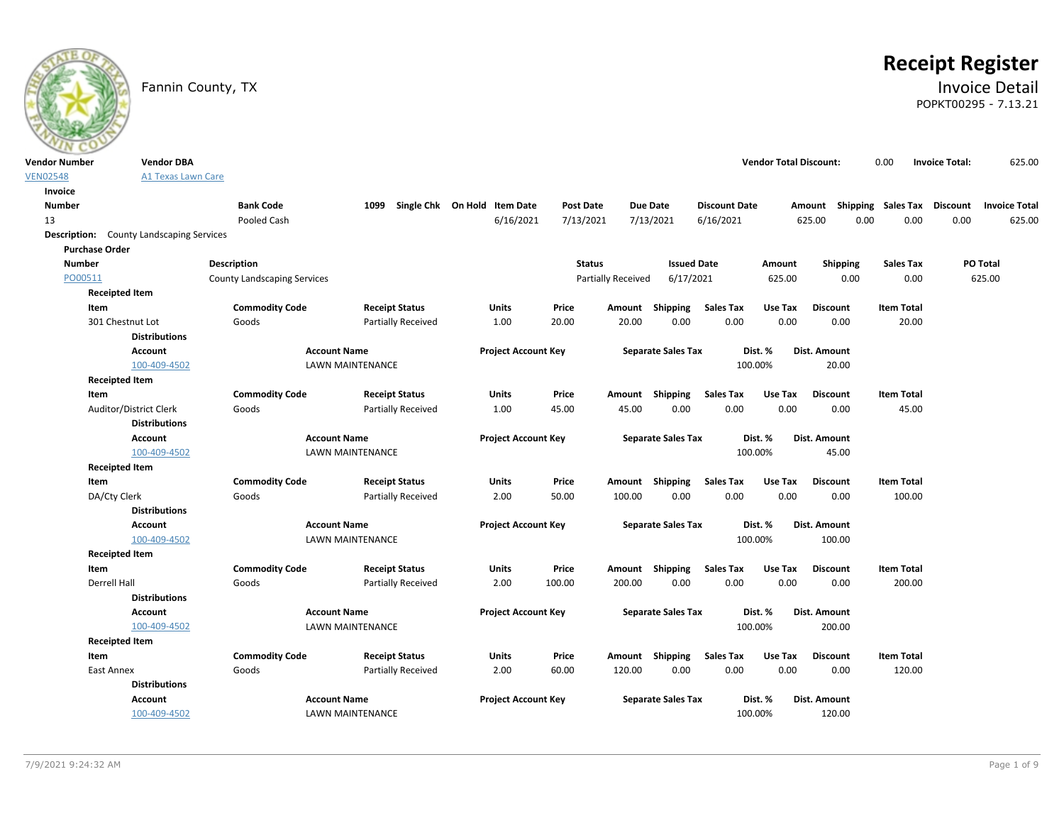

# **Receipt Register**

### Fannin County, TX **Invoice Detail** POPKT00295 - 7.13.21

| <b>Vendor Number</b> | <b>Vendor DBA</b>                               |                                    |                           |                              |                  |                    |                           |                          | <b>Vendor Total Discount:</b> |                                    | 0.00              | <b>Invoice Total:</b> | 625.00               |
|----------------------|-------------------------------------------------|------------------------------------|---------------------------|------------------------------|------------------|--------------------|---------------------------|--------------------------|-------------------------------|------------------------------------|-------------------|-----------------------|----------------------|
| <b>VEN02548</b>      | <b>A1 Texas Lawn Care</b>                       |                                    |                           |                              |                  |                    |                           |                          |                               |                                    |                   |                       |                      |
| Invoice              |                                                 |                                    |                           |                              |                  |                    |                           |                          |                               |                                    |                   |                       |                      |
| <b>Number</b>        |                                                 | <b>Bank Code</b>                   | 1099                      | Single Chk On Hold Item Date | <b>Post Date</b> |                    | Due Date                  | <b>Discount Date</b>     |                               | Amount Shipping Sales Tax Discount |                   |                       | <b>Invoice Total</b> |
| 13                   |                                                 | Pooled Cash                        |                           | 6/16/2021                    | 7/13/2021        |                    | 7/13/2021                 | 6/16/2021                |                               | 625.00<br>0.00                     | 0.00              | 0.00                  | 625.00               |
|                      | <b>Description:</b> County Landscaping Services |                                    |                           |                              |                  |                    |                           |                          |                               |                                    |                   |                       |                      |
|                      | <b>Purchase Order</b>                           |                                    |                           |                              |                  |                    |                           |                          |                               |                                    |                   |                       |                      |
| <b>Number</b>        |                                                 | Description                        |                           |                              | <b>Status</b>    |                    | <b>Issued Date</b>        |                          | Amount                        | Shipping                           | <b>Sales Tax</b>  |                       | PO Total             |
| PO00511              |                                                 | <b>County Landscaping Services</b> |                           |                              |                  | Partially Received | 6/17/2021                 |                          | 625.00                        | 0.00                               | 0.00              |                       | 625.00               |
|                      | <b>Receipted Item</b>                           |                                    |                           |                              |                  |                    |                           |                          |                               |                                    |                   |                       |                      |
|                      | Item                                            | <b>Commodity Code</b>              | <b>Receipt Status</b>     | Units                        | Price            | Amount Shipping    |                           | <b>Sales Tax</b>         | Use Tax                       | <b>Discount</b>                    | <b>Item Total</b> |                       |                      |
|                      | 301 Chestnut Lot                                | Goods                              | <b>Partially Received</b> | 1.00                         | 20.00            | 20.00              | 0.00                      | 0.00                     | 0.00                          | 0.00                               | 20.00             |                       |                      |
|                      | <b>Distributions</b>                            |                                    |                           |                              |                  |                    |                           |                          |                               |                                    |                   |                       |                      |
|                      | Account                                         | <b>Account Name</b>                |                           | <b>Project Account Key</b>   |                  |                    | <b>Separate Sales Tax</b> |                          | Dist. %                       | Dist. Amount                       |                   |                       |                      |
|                      | 100-409-4502                                    |                                    | <b>LAWN MAINTENANCE</b>   |                              |                  |                    |                           |                          | 100.00%                       | 20.00                              |                   |                       |                      |
|                      | <b>Receipted Item</b>                           |                                    |                           |                              |                  |                    |                           |                          |                               |                                    |                   |                       |                      |
|                      | Item                                            | <b>Commodity Code</b>              | <b>Receipt Status</b>     | Units                        | Price            | Amount Shipping    | 0.00                      | <b>Sales Tax</b><br>0.00 | Use Tax<br>0.00               | <b>Discount</b>                    | <b>Item Total</b> |                       |                      |
|                      | Auditor/District Clerk<br><b>Distributions</b>  | Goods                              | <b>Partially Received</b> | 1.00                         | 45.00            | 45.00              |                           |                          |                               | 0.00                               | 45.00             |                       |                      |
|                      | <b>Account</b>                                  | <b>Account Name</b>                |                           | <b>Project Account Key</b>   |                  |                    | <b>Separate Sales Tax</b> |                          | Dist. %                       | Dist. Amount                       |                   |                       |                      |
|                      | 100-409-4502                                    |                                    | LAWN MAINTENANCE          |                              |                  |                    |                           |                          | 100.00%                       | 45.00                              |                   |                       |                      |
|                      | <b>Receipted Item</b>                           |                                    |                           |                              |                  |                    |                           |                          |                               |                                    |                   |                       |                      |
|                      | Item                                            | <b>Commodity Code</b>              | <b>Receipt Status</b>     | Units                        | Price            | Amount Shipping    |                           | <b>Sales Tax</b>         | Use Tax                       | <b>Discount</b>                    | <b>Item Total</b> |                       |                      |
|                      | DA/Cty Clerk                                    | Goods                              | <b>Partially Received</b> | 2.00                         | 50.00            | 100.00             | 0.00                      | 0.00                     | 0.00                          | 0.00                               | 100.00            |                       |                      |
|                      | <b>Distributions</b>                            |                                    |                           |                              |                  |                    |                           |                          |                               |                                    |                   |                       |                      |
|                      | Account                                         | <b>Account Name</b>                |                           | <b>Project Account Key</b>   |                  |                    | <b>Separate Sales Tax</b> |                          | Dist. %                       | Dist. Amount                       |                   |                       |                      |
|                      | 100-409-4502                                    |                                    | <b>LAWN MAINTENANCE</b>   |                              |                  |                    |                           |                          | 100.00%                       | 100.00                             |                   |                       |                      |
|                      | <b>Receipted Item</b>                           |                                    |                           |                              |                  |                    |                           |                          |                               |                                    |                   |                       |                      |
|                      | Item                                            | <b>Commodity Code</b>              | <b>Receipt Status</b>     | Units                        | Price            | Amount Shipping    |                           | <b>Sales Tax</b>         | Use Tax                       | <b>Discount</b>                    | <b>Item Total</b> |                       |                      |
|                      | Derrell Hall                                    | Goods                              | <b>Partially Received</b> | 2.00                         | 100.00           | 200.00             | 0.00                      | 0.00                     | 0.00                          | 0.00                               | 200.00            |                       |                      |
|                      | <b>Distributions</b>                            |                                    |                           |                              |                  |                    |                           |                          |                               |                                    |                   |                       |                      |
|                      | Account                                         | <b>Account Name</b>                |                           | <b>Project Account Key</b>   |                  |                    | <b>Separate Sales Tax</b> |                          | Dist. %                       | Dist. Amount                       |                   |                       |                      |
|                      | 100-409-4502                                    |                                    | <b>LAWN MAINTENANCE</b>   |                              |                  |                    |                           |                          | 100.00%                       | 200.00                             |                   |                       |                      |
|                      | <b>Receipted Item</b>                           |                                    |                           |                              |                  |                    |                           |                          |                               |                                    |                   |                       |                      |
|                      | Item                                            | <b>Commodity Code</b>              | <b>Receipt Status</b>     | Units                        | Price            | Amount Shipping    |                           | <b>Sales Tax</b>         | Use Tax                       | <b>Discount</b>                    | <b>Item Total</b> |                       |                      |
|                      | East Annex                                      | Goods                              | <b>Partially Received</b> | 2.00                         | 60.00            | 120.00             | 0.00                      | 0.00                     | 0.00                          | 0.00                               | 120.00            |                       |                      |
|                      | <b>Distributions</b>                            |                                    |                           |                              |                  |                    |                           |                          |                               |                                    |                   |                       |                      |
|                      | <b>Account</b>                                  | <b>Account Name</b>                |                           | <b>Project Account Key</b>   |                  |                    | <b>Separate Sales Tax</b> |                          | Dist. %                       | Dist. Amount                       |                   |                       |                      |
|                      | 100-409-4502                                    |                                    | LAWN MAINTENANCE          |                              |                  |                    |                           |                          | 100.00%                       | 120.00                             |                   |                       |                      |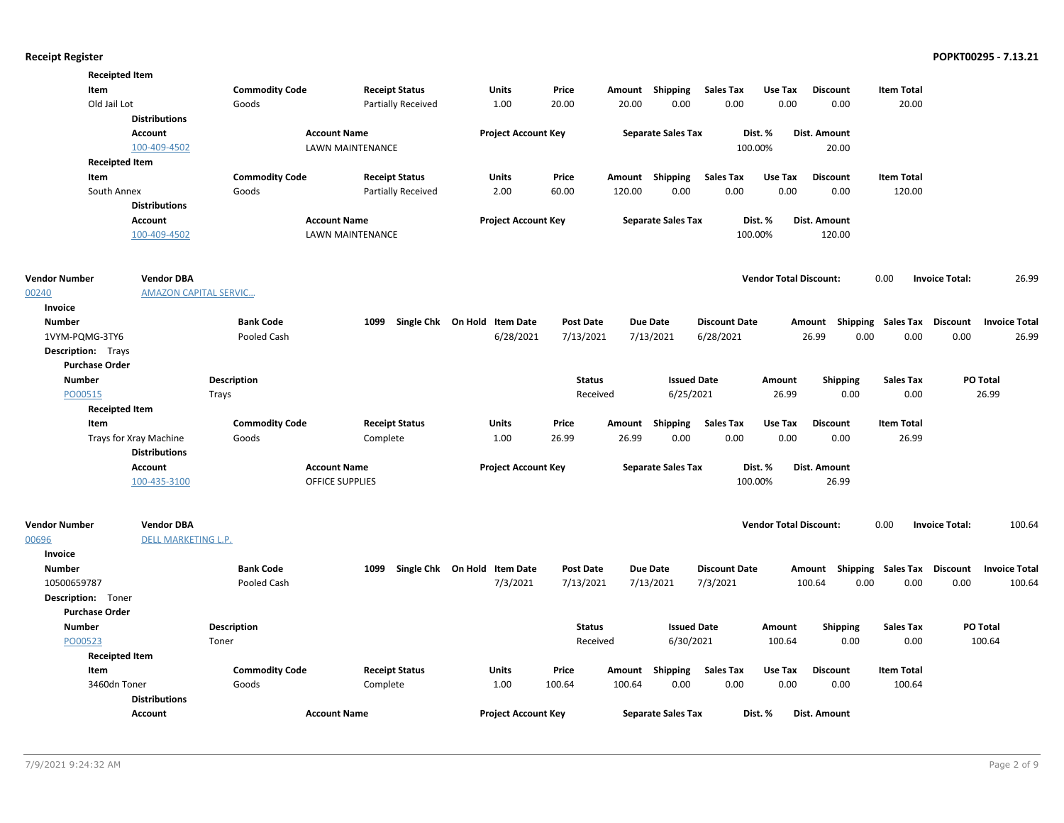|                           | <b>Receipted Item</b>        |                       |                         |                              |                  |        |                           |                      |                               |                           |                    |                       |                      |
|---------------------------|------------------------------|-----------------------|-------------------------|------------------------------|------------------|--------|---------------------------|----------------------|-------------------------------|---------------------------|--------------------|-----------------------|----------------------|
| Item                      |                              | <b>Commodity Code</b> | <b>Receipt Status</b>   | Units                        | Price            | Amount | Shipping                  | Sales Tax            | Use Tax                       | <b>Discount</b>           | <b>Item Total</b>  |                       |                      |
| Old Jail Lot              |                              | Goods                 | Partially Received      | 1.00                         | 20.00            | 20.00  | 0.00                      | 0.00                 | 0.00                          | 0.00                      | 20.00              |                       |                      |
|                           | <b>Distributions</b>         |                       |                         |                              |                  |        |                           |                      |                               |                           |                    |                       |                      |
|                           | <b>Account</b>               |                       | <b>Account Name</b>     | <b>Project Account Key</b>   |                  |        | <b>Separate Sales Tax</b> |                      | Dist. %                       | <b>Dist. Amount</b>       |                    |                       |                      |
|                           | 100-409-4502                 |                       | <b>LAWN MAINTENANCE</b> |                              |                  |        |                           | 100.00%              |                               | 20.00                     |                    |                       |                      |
|                           | <b>Receipted Item</b>        |                       |                         |                              |                  |        |                           |                      |                               |                           |                    |                       |                      |
| Item                      |                              | <b>Commodity Code</b> | <b>Receipt Status</b>   | <b>Units</b>                 | Price            |        | Amount Shipping           | <b>Sales Tax</b>     | Use Tax                       | <b>Discount</b>           | <b>Item Total</b>  |                       |                      |
| South Annex               |                              | Goods                 | Partially Received      | 2.00                         | 60.00            | 120.00 | 0.00                      | 0.00                 | 0.00                          | 0.00                      | 120.00             |                       |                      |
|                           | <b>Distributions</b>         |                       |                         |                              |                  |        |                           |                      |                               |                           |                    |                       |                      |
|                           | Account                      |                       | <b>Account Name</b>     | <b>Project Account Key</b>   |                  |        | <b>Separate Sales Tax</b> |                      | Dist. %                       | <b>Dist. Amount</b>       |                    |                       |                      |
|                           | 100-409-4502                 |                       | LAWN MAINTENANCE        |                              |                  |        |                           | 100.00%              |                               | 120.00                    |                    |                       |                      |
|                           |                              |                       |                         |                              |                  |        |                           |                      |                               |                           |                    |                       |                      |
| <b>Vendor Number</b>      | <b>Vendor DBA</b>            |                       |                         |                              |                  |        |                           |                      | <b>Vendor Total Discount:</b> |                           | 0.00               | <b>Invoice Total:</b> | 26.99                |
| 00240                     | <b>AMAZON CAPITAL SERVIC</b> |                       |                         |                              |                  |        |                           |                      |                               |                           |                    |                       |                      |
| Invoice                   |                              |                       |                         |                              |                  |        |                           |                      |                               |                           |                    |                       |                      |
| <b>Number</b>             |                              | <b>Bank Code</b>      | 1099                    | Single Chk On Hold Item Date | <b>Post Date</b> |        | <b>Due Date</b>           | <b>Discount Date</b> |                               | Amount Shipping Sales Tax |                    | Discount              | <b>Invoice Total</b> |
| 1VYM-PQMG-3TY6            |                              | Pooled Cash           |                         | 6/28/2021                    | 7/13/2021        |        | 7/13/2021                 | 6/28/2021            |                               | 26.99<br>0.00             | 0.00               | 0.00                  | 26.99                |
| <b>Description:</b> Trays |                              |                       |                         |                              |                  |        |                           |                      |                               |                           |                    |                       |                      |
| <b>Purchase Order</b>     |                              |                       |                         |                              |                  |        |                           |                      |                               |                           |                    |                       |                      |
| <b>Number</b>             |                              | <b>Description</b>    |                         |                              | <b>Status</b>    |        | <b>Issued Date</b>        |                      | Amount                        | <b>Shipping</b>           | <b>Sales Tax</b>   |                       | PO Total             |
| PO00515                   |                              | Trays                 |                         |                              | Received         |        | 6/25/2021                 |                      | 26.99                         | 0.00                      | 0.00               |                       | 26.99                |
|                           | <b>Receipted Item</b>        |                       |                         |                              |                  |        |                           |                      |                               |                           |                    |                       |                      |
| Item                      |                              | <b>Commodity Code</b> | <b>Receipt Status</b>   | <b>Units</b>                 | Price            | Amount | Shipping                  | <b>Sales Tax</b>     | Use Tax                       | <b>Discount</b>           | <b>Item Total</b>  |                       |                      |
|                           | Trays for Xray Machine       | Goods                 | Complete                | 1.00                         | 26.99            | 26.99  | 0.00                      | 0.00                 | 0.00                          | 0.00                      | 26.99              |                       |                      |
|                           | <b>Distributions</b>         |                       |                         |                              |                  |        |                           |                      |                               |                           |                    |                       |                      |
|                           | Account                      |                       | <b>Account Name</b>     | <b>Project Account Key</b>   |                  |        | <b>Separate Sales Tax</b> |                      | Dist. %                       | Dist. Amount              |                    |                       |                      |
|                           | 100-435-3100                 |                       | OFFICE SUPPLIES         |                              |                  |        |                           | 100.00%              |                               | 26.99                     |                    |                       |                      |
| <b>Vendor Number</b>      | <b>Vendor DBA</b>            |                       |                         |                              |                  |        |                           |                      | <b>Vendor Total Discount:</b> |                           | 0.00               | <b>Invoice Total:</b> | 100.64               |
| 00696                     | <b>DELL MARKETING L.P.</b>   |                       |                         |                              |                  |        |                           |                      |                               |                           |                    |                       |                      |
| Invoice                   |                              |                       |                         |                              |                  |        |                           |                      |                               |                           |                    |                       |                      |
| <b>Number</b>             |                              | <b>Bank Code</b>      | 1099                    | Single Chk On Hold Item Date | <b>Post Date</b> |        | <b>Due Date</b>           | <b>Discount Date</b> |                               | Amount                    | Shipping Sales Tax | Discount              | <b>Invoice Total</b> |
| 10500659787               |                              | Pooled Cash           |                         | 7/3/2021                     | 7/13/2021        |        | 7/13/2021                 | 7/3/2021             |                               | 100.64<br>0.00            | 0.00               | 0.00                  | 100.64               |
| <b>Description:</b> Toner |                              |                       |                         |                              |                  |        |                           |                      |                               |                           |                    |                       |                      |
| <b>Purchase Order</b>     |                              |                       |                         |                              |                  |        |                           |                      |                               |                           |                    |                       |                      |
| <b>Number</b>             |                              | <b>Description</b>    |                         |                              | <b>Status</b>    |        | <b>Issued Date</b>        |                      | Amount                        | <b>Shipping</b>           | <b>Sales Tax</b>   |                       | PO Total             |
| PO00523                   |                              | Toner                 |                         |                              | Received         |        | 6/30/2021                 |                      | 100.64                        | 0.00                      | 0.00               |                       | 100.64               |
|                           | <b>Receipted Item</b>        |                       |                         |                              |                  |        |                           |                      |                               |                           |                    |                       |                      |
| Item                      |                              | <b>Commodity Code</b> | <b>Receipt Status</b>   | <b>Units</b>                 | Price            |        | Amount Shipping           | <b>Sales Tax</b>     | Use Tax                       | <b>Discount</b>           | <b>Item Total</b>  |                       |                      |
| 3460dn Toner              |                              | Goods                 | Complete                | 1.00                         | 100.64           | 100.64 | 0.00                      | 0.00                 | 0.00                          | 0.00                      | 100.64             |                       |                      |
|                           | <b>Distributions</b>         |                       |                         |                              |                  |        |                           |                      |                               |                           |                    |                       |                      |
|                           | Account                      | <b>Account Name</b>   |                         | <b>Project Account Key</b>   |                  |        | <b>Separate Sales Tax</b> |                      | Dist. %                       | Dist. Amount              |                    |                       |                      |
|                           |                              |                       |                         |                              |                  |        |                           |                      |                               |                           |                    |                       |                      |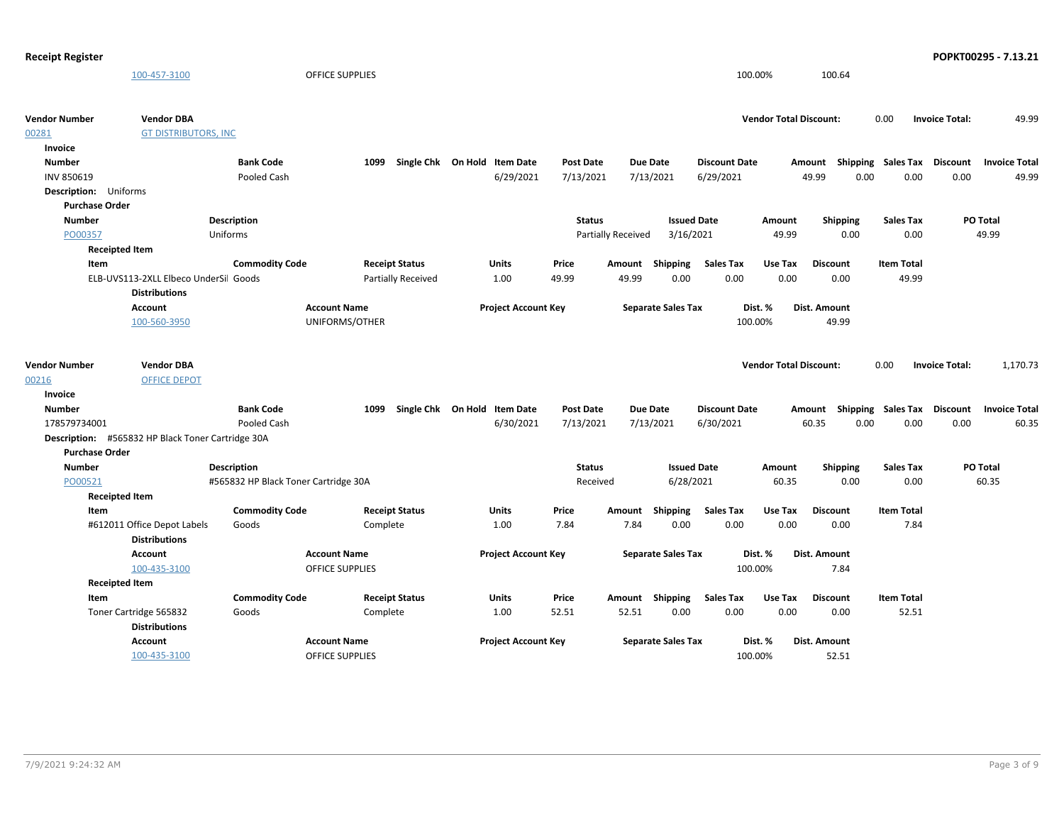| <b>Receipt Register</b>      |                                                   |                                      |                           |                              |                  |                    |                           |                      |                               |                                    |                   |                       | POPKT00295 - 7.13.21 |
|------------------------------|---------------------------------------------------|--------------------------------------|---------------------------|------------------------------|------------------|--------------------|---------------------------|----------------------|-------------------------------|------------------------------------|-------------------|-----------------------|----------------------|
|                              | 100-457-3100                                      |                                      | OFFICE SUPPLIES           |                              |                  |                    |                           |                      | 100.00%                       | 100.64                             |                   |                       |                      |
| Vendor Number                | <b>Vendor DBA</b>                                 |                                      |                           |                              |                  |                    |                           |                      | <b>Vendor Total Discount:</b> |                                    | 0.00              | <b>Invoice Total:</b> | 49.99                |
| 00281                        | <b>GT DISTRIBUTORS, INC</b>                       |                                      |                           |                              |                  |                    |                           |                      |                               |                                    |                   |                       |                      |
| Invoice                      |                                                   |                                      |                           |                              |                  |                    |                           |                      |                               |                                    |                   |                       |                      |
| <b>Number</b>                |                                                   | <b>Bank Code</b>                     | 1099                      | Single Chk On Hold Item Date | <b>Post Date</b> |                    | <b>Due Date</b>           | <b>Discount Date</b> |                               | Amount Shipping Sales Tax Discount |                   |                       | <b>Invoice Total</b> |
| <b>INV 850619</b>            |                                                   | Pooled Cash                          |                           | 6/29/2021                    | 7/13/2021        |                    | 7/13/2021                 | 6/29/2021            |                               | 49.99<br>0.00                      | 0.00              | 0.00                  | 49.99                |
| <b>Description:</b> Uniforms |                                                   |                                      |                           |                              |                  |                    |                           |                      |                               |                                    |                   |                       |                      |
| <b>Purchase Order</b>        |                                                   |                                      |                           |                              |                  |                    |                           |                      |                               |                                    |                   |                       |                      |
| <b>Number</b>                |                                                   | <b>Description</b>                   |                           |                              | <b>Status</b>    |                    | <b>Issued Date</b>        |                      | Amount                        | <b>Shipping</b>                    | <b>Sales Tax</b>  | PO Total              |                      |
| PO00357                      |                                                   | Uniforms                             |                           |                              |                  | Partially Received | 3/16/2021                 |                      | 49.99                         | 0.00                               | 0.00              |                       | 49.99                |
|                              | <b>Receipted Item</b>                             |                                      |                           |                              |                  |                    |                           |                      |                               |                                    |                   |                       |                      |
| Item                         |                                                   | <b>Commodity Code</b>                | <b>Receipt Status</b>     | Units                        | Price            |                    | Amount Shipping           | <b>Sales Tax</b>     | Use Tax                       | <b>Discount</b>                    | <b>Item Total</b> |                       |                      |
|                              | ELB-UVS113-2XLL Elbeco UnderSil Goods             |                                      | <b>Partially Received</b> | 1.00                         | 49.99            | 49.99              | 0.00                      | 0.00                 | 0.00                          | 0.00                               | 49.99             |                       |                      |
|                              | <b>Distributions</b>                              |                                      |                           |                              |                  |                    |                           |                      |                               |                                    |                   |                       |                      |
|                              | <b>Account</b>                                    |                                      | <b>Account Name</b>       | <b>Project Account Key</b>   |                  |                    | <b>Separate Sales Tax</b> |                      | Dist. %                       | <b>Dist. Amount</b>                |                   |                       |                      |
|                              | 100-560-3950                                      |                                      | UNIFORMS/OTHER            |                              |                  |                    |                           |                      | 100.00%                       | 49.99                              |                   |                       |                      |
|                              |                                                   |                                      |                           |                              |                  |                    |                           |                      |                               |                                    |                   |                       |                      |
| Vendor Number                | <b>Vendor DBA</b>                                 |                                      |                           |                              |                  |                    |                           |                      | <b>Vendor Total Discount:</b> |                                    | 0.00              | <b>Invoice Total:</b> | 1,170.73             |
| 00216                        | <b>OFFICE DEPOT</b>                               |                                      |                           |                              |                  |                    |                           |                      |                               |                                    |                   |                       |                      |
| Invoice                      |                                                   |                                      |                           |                              |                  |                    |                           |                      |                               |                                    |                   |                       |                      |
| <b>Number</b>                |                                                   | <b>Bank Code</b>                     | 1099                      | Single Chk On Hold Item Date | Post Date        |                    | <b>Due Date</b>           | <b>Discount Date</b> |                               | Amount Shipping Sales Tax Discount |                   |                       | <b>Invoice Total</b> |
| 178579734001                 |                                                   | Pooled Cash                          |                           | 6/30/2021                    | 7/13/2021        |                    | 7/13/2021                 | 6/30/2021            |                               | 60.35<br>0.00                      | 0.00              | 0.00                  | 60.35                |
|                              | Description: #565832 HP Black Toner Cartridge 30A |                                      |                           |                              |                  |                    |                           |                      |                               |                                    |                   |                       |                      |
| <b>Purchase Order</b>        |                                                   |                                      |                           |                              |                  |                    |                           |                      |                               |                                    |                   |                       |                      |
| <b>Number</b>                |                                                   | <b>Description</b>                   |                           |                              | <b>Status</b>    |                    | <b>Issued Date</b>        |                      | Amount                        | <b>Shipping</b>                    | <b>Sales Tax</b>  | PO Total              |                      |
| PO00521                      |                                                   | #565832 HP Black Toner Cartridge 30A |                           |                              | Received         |                    | 6/28/2021                 |                      | 60.35                         | 0.00                               | 0.00              |                       | 60.35                |
|                              | <b>Receipted Item</b>                             |                                      |                           |                              |                  |                    |                           |                      |                               |                                    |                   |                       |                      |
| Item                         |                                                   | <b>Commodity Code</b>                | <b>Receipt Status</b>     | Units                        | Price            | Amount             | Shipping                  | <b>Sales Tax</b>     | Use Tax                       | <b>Discount</b>                    | <b>Item Total</b> |                       |                      |
|                              | #612011 Office Depot Labels                       | Goods                                | Complete                  | 1.00                         | 7.84             | 7.84               | 0.00                      | 0.00                 | 0.00                          | 0.00                               | 7.84              |                       |                      |
|                              | <b>Distributions</b>                              |                                      |                           |                              |                  |                    |                           |                      |                               |                                    |                   |                       |                      |
|                              | <b>Account</b>                                    |                                      | <b>Account Name</b>       | <b>Project Account Key</b>   |                  |                    | <b>Separate Sales Tax</b> |                      | Dist. %                       | Dist. Amount                       |                   |                       |                      |
|                              | 100-435-3100                                      |                                      | OFFICE SUPPLIES           |                              |                  |                    |                           |                      | 100.00%                       | 7.84                               |                   |                       |                      |
| <b>Receipted Item</b>        |                                                   |                                      |                           |                              |                  |                    |                           |                      |                               |                                    |                   |                       |                      |
| Item                         |                                                   | <b>Commodity Code</b>                | <b>Receipt Status</b>     | Units                        | Price            |                    | Amount Shipping           | <b>Sales Tax</b>     | Use Tax                       | <b>Discount</b>                    | <b>Item Total</b> |                       |                      |
|                              | Toner Cartridge 565832                            | Goods                                | Complete                  | 1.00                         | 52.51            | 52.51              | 0.00                      | 0.00                 | 0.00                          | 0.00                               | 52.51             |                       |                      |
|                              | <b>Distributions</b>                              |                                      |                           |                              |                  |                    |                           |                      |                               |                                    |                   |                       |                      |
|                              | <b>Account</b>                                    |                                      | <b>Account Name</b>       | <b>Project Account Key</b>   |                  |                    | <b>Separate Sales Tax</b> |                      | Dist. %                       | Dist. Amount                       |                   |                       |                      |
|                              | 100-435-3100                                      |                                      | <b>OFFICE SUPPLIES</b>    |                              |                  |                    |                           |                      | 100.00%                       | 52.51                              |                   |                       |                      |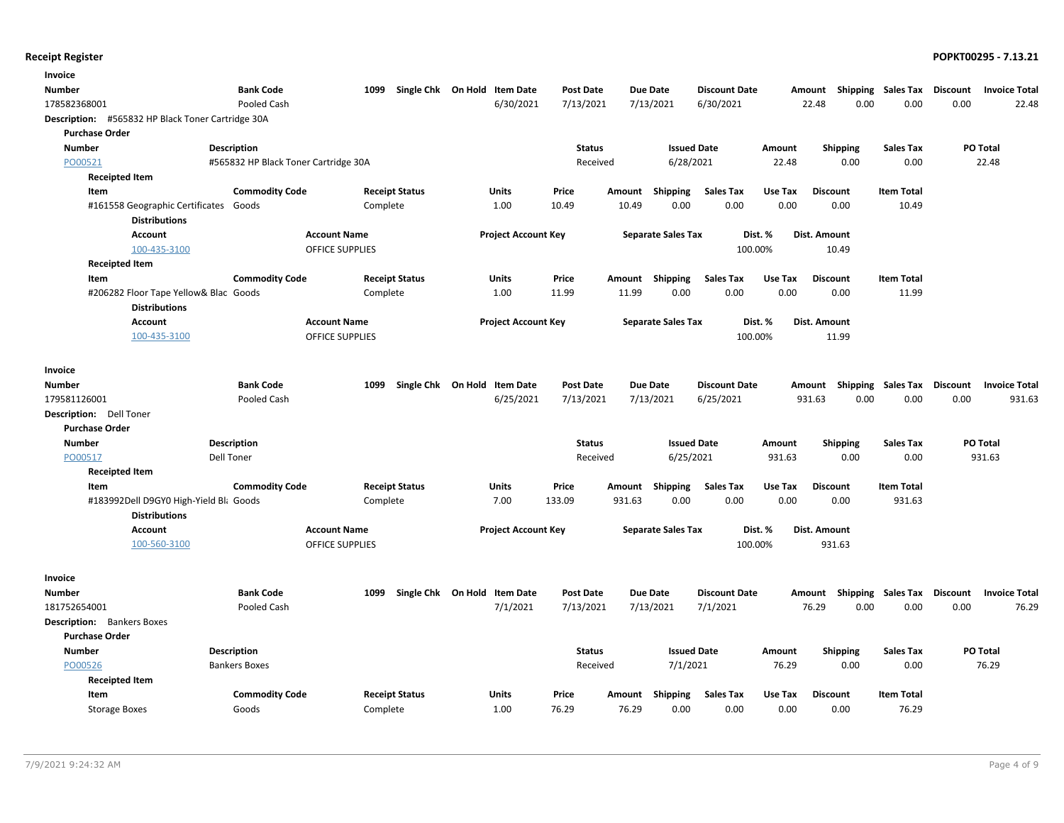| Invoice                                                       |                                      |                            |                              |                  |        |                           |                      |         |                           |                   |                 |                      |
|---------------------------------------------------------------|--------------------------------------|----------------------------|------------------------------|------------------|--------|---------------------------|----------------------|---------|---------------------------|-------------------|-----------------|----------------------|
| Number                                                        | <b>Bank Code</b>                     | 1099                       | Single Chk On Hold Item Date | <b>Post Date</b> |        | <b>Due Date</b>           | <b>Discount Date</b> |         | Amount Shipping Sales Tax |                   | <b>Discount</b> | <b>Invoice Total</b> |
| 178582368001                                                  | Pooled Cash                          |                            | 6/30/2021                    | 7/13/2021        |        | 7/13/2021                 | 6/30/2021            |         | 22.48<br>0.00             | 0.00              | 0.00            | 22.48                |
| Description: #565832 HP Black Toner Cartridge 30A             |                                      |                            |                              |                  |        |                           |                      |         |                           |                   |                 |                      |
| <b>Purchase Order</b>                                         |                                      |                            |                              |                  |        |                           |                      |         |                           |                   |                 |                      |
| <b>Number</b>                                                 | <b>Description</b>                   |                            |                              | <b>Status</b>    |        | <b>Issued Date</b>        |                      | Amount  | <b>Shipping</b>           | <b>Sales Tax</b>  | <b>PO Total</b> |                      |
| PO00521                                                       | #565832 HP Black Toner Cartridge 30A |                            |                              | Received         |        | 6/28/2021                 |                      | 22.48   | 0.00                      | 0.00              |                 | 22.48                |
| <b>Receipted Item</b>                                         |                                      |                            |                              |                  |        |                           |                      |         |                           |                   |                 |                      |
| Item                                                          | <b>Commodity Code</b>                | <b>Receipt Status</b>      | Units                        | Price            | Amount | Shipping                  | <b>Sales Tax</b>     | Use Tax | <b>Discount</b>           | <b>Item Total</b> |                 |                      |
| #161558 Geographic Certificates Goods<br><b>Distributions</b> |                                      | Complete                   | 1.00                         | 10.49            | 10.49  | 0.00                      | 0.00                 | 0.00    | 0.00                      | 10.49             |                 |                      |
| <b>Account</b>                                                | <b>Account Name</b>                  |                            | <b>Project Account Key</b>   |                  |        | <b>Separate Sales Tax</b> | Dist. %              |         | Dist. Amount              |                   |                 |                      |
| 100-435-3100                                                  | <b>OFFICE SUPPLIES</b>               |                            |                              |                  |        |                           | 100.00%              |         | 10.49                     |                   |                 |                      |
| <b>Receipted Item</b>                                         |                                      |                            |                              |                  |        |                           |                      |         |                           |                   |                 |                      |
| Item                                                          | <b>Commodity Code</b>                | <b>Receipt Status</b>      | <b>Units</b>                 | Price            | Amount | Shipping                  | <b>Sales Tax</b>     | Use Tax | <b>Discount</b>           | <b>Item Total</b> |                 |                      |
| #206282 Floor Tape Yellow& Blac Goods<br><b>Distributions</b> |                                      | Complete                   | 1.00                         | 11.99            | 11.99  | 0.00                      | 0.00                 | 0.00    | 0.00                      | 11.99             |                 |                      |
| <b>Account</b>                                                | <b>Account Name</b>                  |                            | <b>Project Account Key</b>   |                  |        | <b>Separate Sales Tax</b> | Dist. %              |         | Dist. Amount              |                   |                 |                      |
| 100-435-3100                                                  | <b>OFFICE SUPPLIES</b>               |                            |                              |                  |        |                           | 100.00%              |         | 11.99                     |                   |                 |                      |
| Invoice                                                       |                                      |                            |                              |                  |        |                           |                      |         |                           |                   |                 |                      |
| Number                                                        | <b>Bank Code</b>                     | 1099<br>Single Chk On Hold | <b>Item Date</b>             | <b>Post Date</b> |        | <b>Due Date</b>           | <b>Discount Date</b> |         | Amount Shipping Sales Tax |                   | <b>Discount</b> | <b>Invoice Total</b> |
| 179581126001                                                  | Pooled Cash                          |                            | 6/25/2021                    | 7/13/2021        |        | 7/13/2021                 | 6/25/2021            |         | 0.00<br>931.63            | 0.00              | 0.00            | 931.63               |
| Description: Dell Toner                                       |                                      |                            |                              |                  |        |                           |                      |         |                           |                   |                 |                      |
| <b>Purchase Order</b>                                         |                                      |                            |                              |                  |        |                           |                      |         |                           |                   |                 |                      |
| <b>Number</b>                                                 | <b>Description</b>                   |                            |                              | <b>Status</b>    |        | <b>Issued Date</b>        |                      | Amount  | <b>Shipping</b>           | <b>Sales Tax</b>  | <b>PO Total</b> |                      |
| PO00517                                                       | Dell Toner                           |                            |                              | Received         |        | 6/25/2021                 |                      | 931.63  | 0.00                      | 0.00              |                 | 931.63               |
| <b>Receipted Item</b>                                         |                                      |                            |                              |                  |        |                           |                      |         |                           |                   |                 |                      |
| Item                                                          | <b>Commodity Code</b>                | <b>Receipt Status</b>      | Units                        | Price            | Amount | Shipping                  | <b>Sales Tax</b>     | Use Tax | <b>Discount</b>           | <b>Item Total</b> |                 |                      |
| #183992Dell D9GY0 High-Yield Bli Goods                        |                                      | Complete                   | 7.00                         | 133.09           | 931.63 | 0.00                      | 0.00                 | 0.00    | 0.00                      | 931.63            |                 |                      |
| <b>Distributions</b>                                          |                                      |                            |                              |                  |        |                           |                      |         |                           |                   |                 |                      |
| <b>Account</b>                                                | <b>Account Name</b>                  |                            | <b>Project Account Key</b>   |                  |        | <b>Separate Sales Tax</b> | Dist. %              |         | Dist. Amount              |                   |                 |                      |
| 100-560-3100                                                  | <b>OFFICE SUPPLIES</b>               |                            |                              |                  |        |                           | 100.00%              |         | 931.63                    |                   |                 |                      |
| Invoice                                                       |                                      |                            |                              |                  |        |                           |                      |         |                           |                   |                 |                      |
| Number                                                        | <b>Bank Code</b>                     | Single Chk On Hold<br>1099 | <b>Item Date</b>             | <b>Post Date</b> |        | <b>Due Date</b>           | <b>Discount Date</b> |         | Amount Shipping Sales Tax |                   | <b>Discount</b> | <b>Invoice Total</b> |
| 181752654001                                                  | Pooled Cash                          |                            | 7/1/2021                     | 7/13/2021        |        | 7/13/2021                 | 7/1/2021             |         | 76.29<br>0.00             | 0.00              | 0.00            | 76.29                |
| <b>Description:</b> Bankers Boxes                             |                                      |                            |                              |                  |        |                           |                      |         |                           |                   |                 |                      |
| <b>Purchase Order</b>                                         |                                      |                            |                              |                  |        |                           |                      |         |                           |                   |                 |                      |
| <b>Number</b>                                                 | <b>Description</b>                   |                            |                              | <b>Status</b>    |        | <b>Issued Date</b>        |                      | Amount  | <b>Shipping</b>           | <b>Sales Tax</b>  | <b>PO Total</b> |                      |
| PO00526                                                       | <b>Bankers Boxes</b>                 |                            |                              | Received         |        | 7/1/2021                  |                      | 76.29   | 0.00                      | 0.00              |                 | 76.29                |
| <b>Receipted Item</b>                                         |                                      |                            |                              |                  |        |                           |                      |         |                           |                   |                 |                      |
| Item                                                          | <b>Commodity Code</b>                | <b>Receipt Status</b>      | Units                        | Price            | Amount | Shipping                  | <b>Sales Tax</b>     | Use Tax | <b>Discount</b>           | <b>Item Total</b> |                 |                      |
| <b>Storage Boxes</b>                                          | Goods                                | Complete                   | 1.00                         | 76.29            | 76.29  | 0.00                      | 0.00                 | 0.00    | 0.00                      | 76.29             |                 |                      |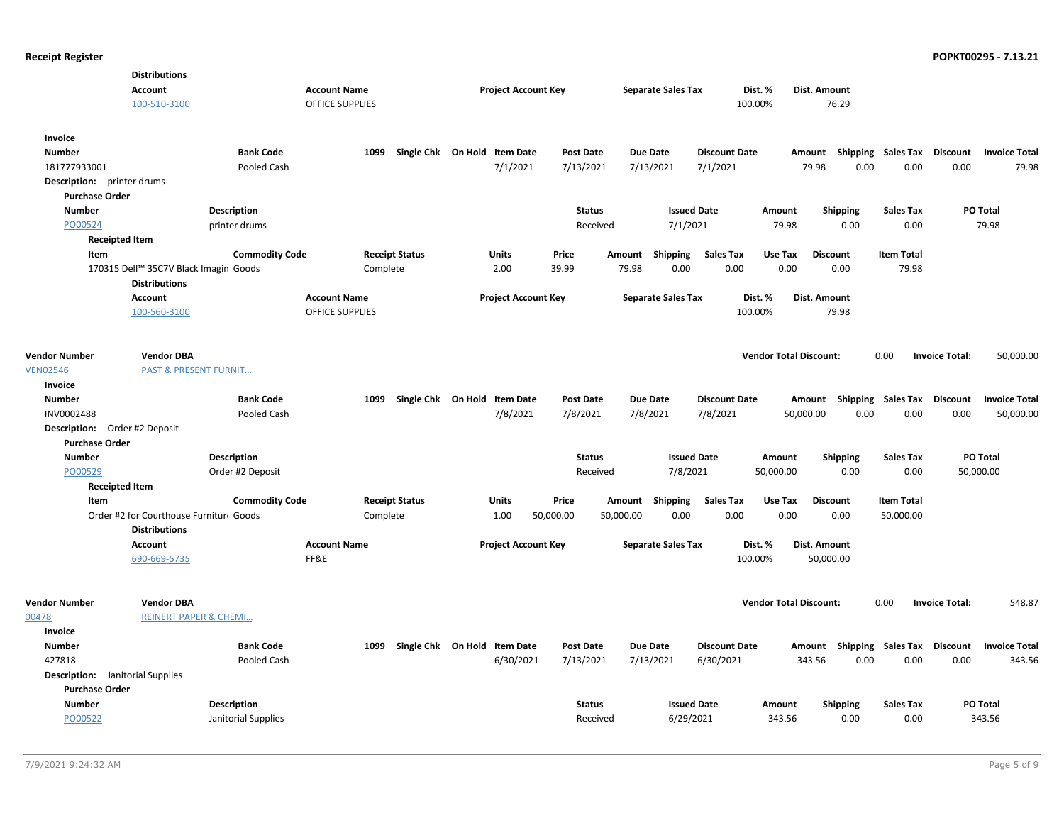|                                         | <b>Distributions</b><br><b>Account</b>                         |                       | <b>Account Name</b>    |          |                              | <b>Project Account Key</b> |                  |           | <b>Separate Sales Tax</b> |                      | Dist. %                       | Dist. Amount                                     |                   |                       |                      |
|-----------------------------------------|----------------------------------------------------------------|-----------------------|------------------------|----------|------------------------------|----------------------------|------------------|-----------|---------------------------|----------------------|-------------------------------|--------------------------------------------------|-------------------|-----------------------|----------------------|
|                                         | 100-510-3100                                                   |                       | OFFICE SUPPLIES        |          |                              |                            |                  |           |                           | 100.00%              |                               | 76.29                                            |                   |                       |                      |
| Invoice                                 |                                                                |                       |                        |          |                              |                            |                  |           |                           |                      |                               |                                                  |                   |                       |                      |
| <b>Number</b>                           |                                                                | <b>Bank Code</b>      |                        | 1099     | Single Chk On Hold Item Date |                            | <b>Post Date</b> |           | <b>Due Date</b>           | <b>Discount Date</b> |                               | Amount Shipping Sales Tax Discount Invoice Total |                   |                       |                      |
| 181777933001                            |                                                                | Pooled Cash           |                        |          |                              | 7/1/2021                   | 7/13/2021        |           | 7/13/2021                 | 7/1/2021             |                               | 0.00<br>79.98                                    | 0.00              | 0.00                  | 79.98                |
| <b>Description:</b> printer drums       |                                                                |                       |                        |          |                              |                            |                  |           |                           |                      |                               |                                                  |                   |                       |                      |
| <b>Purchase Order</b>                   |                                                                |                       |                        |          |                              |                            |                  |           |                           |                      |                               |                                                  |                   |                       |                      |
| <b>Number</b>                           |                                                                | Description           |                        |          |                              |                            | <b>Status</b>    |           | <b>Issued Date</b>        |                      | Amount                        | <b>Shipping</b>                                  | <b>Sales Tax</b>  | PO Total              |                      |
| PO00524                                 |                                                                | printer drums         |                        |          |                              |                            | Received         |           | 7/1/2021                  |                      | 79.98                         | 0.00                                             | 0.00              |                       | 79.98                |
| <b>Receipted Item</b>                   |                                                                |                       |                        |          |                              |                            |                  |           |                           |                      |                               |                                                  |                   |                       |                      |
| Item                                    |                                                                | <b>Commodity Code</b> |                        |          | <b>Receipt Status</b>        | <b>Units</b>               | Price            | Amount    | Shipping                  | <b>Sales Tax</b>     | Use Tax                       | <b>Discount</b>                                  | <b>Item Total</b> |                       |                      |
|                                         | 170315 Dell™ 35C7V Black Imagin Goods                          |                       |                        | Complete |                              | 2.00                       | 39.99            | 79.98     | 0.00                      | 0.00                 | 0.00                          | 0.00                                             | 79.98             |                       |                      |
|                                         | <b>Distributions</b>                                           |                       |                        |          |                              |                            |                  |           |                           |                      |                               |                                                  |                   |                       |                      |
|                                         | <b>Account</b>                                                 |                       | <b>Account Name</b>    |          |                              | <b>Project Account Key</b> |                  |           | <b>Separate Sales Tax</b> |                      | Dist. %                       | Dist. Amount                                     |                   |                       |                      |
|                                         | 100-560-3100                                                   |                       | <b>OFFICE SUPPLIES</b> |          |                              |                            |                  |           |                           | 100.00%              |                               | 79.98                                            |                   |                       |                      |
|                                         |                                                                |                       |                        |          |                              |                            |                  |           |                           |                      |                               |                                                  |                   |                       |                      |
|                                         |                                                                |                       |                        |          |                              |                            |                  |           |                           |                      |                               |                                                  |                   |                       |                      |
| <b>Vendor Number</b>                    | <b>Vendor DBA</b>                                              |                       |                        |          |                              |                            |                  |           |                           |                      | <b>Vendor Total Discount:</b> |                                                  | 0.00              | <b>Invoice Total:</b> | 50,000.00            |
| <b>VEN02546</b>                         | <b>PAST &amp; PRESENT FURNIT</b>                               |                       |                        |          |                              |                            |                  |           |                           |                      |                               |                                                  |                   |                       |                      |
| Invoice                                 |                                                                |                       |                        |          |                              |                            |                  |           |                           |                      |                               |                                                  |                   |                       |                      |
| <b>Number</b>                           |                                                                | <b>Bank Code</b>      |                        | 1099     | Single Chk On Hold           | <b>Item Date</b>           | <b>Post Date</b> |           | <b>Due Date</b>           | <b>Discount Date</b> |                               | Amount Shipping Sales Tax                        |                   | <b>Discount</b>       | <b>Invoice Total</b> |
| INV0002488                              |                                                                | Pooled Cash           |                        |          |                              | 7/8/2021                   | 7/8/2021         |           | 7/8/2021                  | 7/8/2021             | 50,000.00                     | 0.00                                             | 0.00              | 0.00                  | 50,000.00            |
| <b>Description:</b> Order #2 Deposit    |                                                                |                       |                        |          |                              |                            |                  |           |                           |                      |                               |                                                  |                   |                       |                      |
| <b>Purchase Order</b>                   |                                                                |                       |                        |          |                              |                            |                  |           |                           |                      |                               |                                                  |                   |                       |                      |
| <b>Number</b>                           |                                                                | <b>Description</b>    |                        |          |                              |                            | <b>Status</b>    |           | <b>Issued Date</b>        |                      | Amount                        | <b>Shipping</b>                                  | <b>Sales Tax</b>  | PO Total              |                      |
| PO00529                                 |                                                                | Order #2 Deposit      |                        |          |                              |                            | Received         |           | 7/8/2021                  |                      | 50,000.00                     | 0.00                                             | 0.00              | 50,000.00             |                      |
| <b>Receipted Item</b>                   |                                                                |                       |                        |          |                              |                            |                  |           |                           |                      |                               |                                                  |                   |                       |                      |
| Item                                    |                                                                | <b>Commodity Code</b> |                        |          | <b>Receipt Status</b>        | Units                      | Price            | Amount    | Shipping                  | <b>Sales Tax</b>     | Use Tax                       | <b>Discount</b>                                  | <b>Item Total</b> |                       |                      |
|                                         | Order #2 for Courthouse Furnitur Goods<br><b>Distributions</b> |                       |                        | Complete |                              | 1.00                       | 50,000.00        | 50,000.00 | 0.00                      | 0.00                 | 0.00                          | 0.00                                             | 50,000.00         |                       |                      |
|                                         | <b>Account</b>                                                 |                       | <b>Account Name</b>    |          |                              | <b>Project Account Key</b> |                  |           | <b>Separate Sales Tax</b> |                      | Dist. %                       | Dist. Amount                                     |                   |                       |                      |
|                                         | 690-669-5735                                                   |                       | FF&E                   |          |                              |                            |                  |           |                           | 100.00%              |                               | 50,000.00                                        |                   |                       |                      |
|                                         |                                                                |                       |                        |          |                              |                            |                  |           |                           |                      |                               |                                                  |                   |                       |                      |
| <b>Vendor Number</b>                    | <b>Vendor DBA</b>                                              |                       |                        |          |                              |                            |                  |           |                           |                      | <b>Vendor Total Discount:</b> |                                                  | 0.00              | <b>Invoice Total:</b> | 548.87               |
| 00478                                   | <b>REINERT PAPER &amp; CHEMI</b>                               |                       |                        |          |                              |                            |                  |           |                           |                      |                               |                                                  |                   |                       |                      |
| Invoice                                 |                                                                |                       |                        |          |                              |                            |                  |           |                           |                      |                               |                                                  |                   |                       |                      |
| <b>Number</b>                           |                                                                | <b>Bank Code</b>      |                        | 1099     | Single Chk On Hold Item Date |                            | <b>Post Date</b> |           | <b>Due Date</b>           | <b>Discount Date</b> |                               | Amount Shipping Sales Tax Discount               |                   |                       | <b>Invoice Total</b> |
| 427818                                  |                                                                | Pooled Cash           |                        |          |                              | 6/30/2021                  | 7/13/2021        |           | 7/13/2021                 | 6/30/2021            |                               | 343.56<br>0.00                                   | 0.00              | 0.00                  | 343.56               |
| <b>Description:</b> Janitorial Supplies |                                                                |                       |                        |          |                              |                            |                  |           |                           |                      |                               |                                                  |                   |                       |                      |
| <b>Purchase Order</b>                   |                                                                |                       |                        |          |                              |                            |                  |           |                           |                      |                               |                                                  |                   |                       |                      |
| <b>Number</b>                           |                                                                | <b>Description</b>    |                        |          |                              |                            | <b>Status</b>    |           | <b>Issued Date</b>        |                      | Amount                        | <b>Shipping</b>                                  | <b>Sales Tax</b>  | <b>PO Total</b>       |                      |
| PO00522                                 |                                                                |                       |                        |          |                              |                            |                  |           | 6/29/2021                 |                      | 343.56                        | 0.00                                             | 0.00              |                       | 343.56               |
|                                         |                                                                | Janitorial Supplies   |                        |          |                              |                            | Received         |           |                           |                      |                               |                                                  |                   |                       |                      |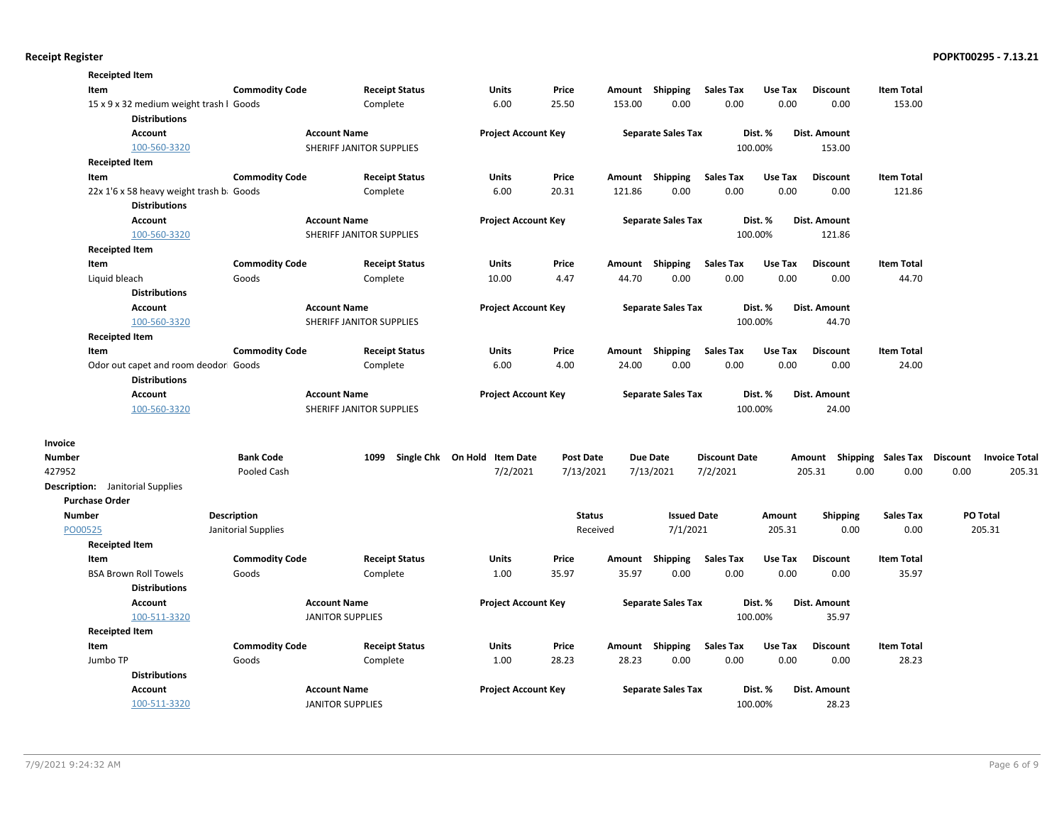|               | <b>Receipted Item</b>                                           |                                    |                          |                              |                           |        |                                |                      |                  |                         |                          |                 |                      |
|---------------|-----------------------------------------------------------------|------------------------------------|--------------------------|------------------------------|---------------------------|--------|--------------------------------|----------------------|------------------|-------------------------|--------------------------|-----------------|----------------------|
|               | Item                                                            | <b>Commodity Code</b>              | <b>Receipt Status</b>    | Units                        | Price                     |        | Amount Shipping                | <b>Sales Tax</b>     | Use Tax          | <b>Discount</b>         | <b>Item Total</b>        |                 |                      |
|               | 15 x 9 x 32 medium weight trash I Goods<br><b>Distributions</b> |                                    | Complete                 | 6.00                         | 25.50                     | 153.00 | 0.00                           | 0.00                 | 0.00             | 0.00                    | 153.00                   |                 |                      |
|               | <b>Account</b>                                                  |                                    | <b>Account Name</b>      | <b>Project Account Key</b>   |                           |        | <b>Separate Sales Tax</b>      |                      | Dist. %          | Dist. Amount            |                          |                 |                      |
|               | 100-560-3320                                                    |                                    | SHERIFF JANITOR SUPPLIES |                              |                           |        |                                | 100.00%              |                  | 153.00                  |                          |                 |                      |
|               | <b>Receipted Item</b>                                           |                                    |                          |                              |                           |        |                                |                      |                  |                         |                          |                 |                      |
|               | Item                                                            | <b>Commodity Code</b>              | <b>Receipt Status</b>    | Units                        | Price                     |        | Amount Shipping                | <b>Sales Tax</b>     | Use Tax          | <b>Discount</b>         | <b>Item Total</b>        |                 |                      |
|               | 22x 1'6 x 58 heavy weight trash b. Goods                        |                                    | Complete                 | 6.00                         | 20.31                     | 121.86 | 0.00                           | 0.00                 | 0.00             | 0.00                    | 121.86                   |                 |                      |
|               | <b>Distributions</b>                                            |                                    |                          |                              |                           |        |                                |                      |                  |                         |                          |                 |                      |
|               | Account                                                         |                                    | <b>Account Name</b>      | <b>Project Account Key</b>   |                           |        | <b>Separate Sales Tax</b>      |                      | Dist. %          | Dist. Amount            |                          |                 |                      |
|               | 100-560-3320                                                    |                                    | SHERIFF JANITOR SUPPLIES |                              |                           |        |                                | 100.00%              |                  | 121.86                  |                          |                 |                      |
|               | <b>Receipted Item</b>                                           |                                    |                          |                              |                           |        |                                |                      |                  |                         |                          |                 |                      |
|               | Item                                                            | <b>Commodity Code</b>              | <b>Receipt Status</b>    | <b>Units</b>                 | Price                     |        | Amount Shipping                | <b>Sales Tax</b>     | Use Tax          | <b>Discount</b>         | <b>Item Total</b>        |                 |                      |
|               | Liquid bleach                                                   | Goods                              | Complete                 | 10.00                        | 4.47                      | 44.70  | 0.00                           | 0.00                 | 0.00             | 0.00                    | 44.70                    |                 |                      |
|               | <b>Distributions</b>                                            |                                    |                          |                              |                           |        |                                |                      |                  |                         |                          |                 |                      |
|               | <b>Account</b>                                                  |                                    | <b>Account Name</b>      | <b>Project Account Key</b>   |                           |        | <b>Separate Sales Tax</b>      |                      | Dist. %          | Dist. Amount            |                          |                 |                      |
|               | 100-560-3320                                                    |                                    | SHERIFF JANITOR SUPPLIES |                              |                           |        |                                | 100.00%              |                  | 44.70                   |                          |                 |                      |
|               | <b>Receipted Item</b>                                           |                                    |                          |                              |                           |        |                                |                      |                  |                         |                          |                 |                      |
|               | Item                                                            | <b>Commodity Code</b>              | <b>Receipt Status</b>    | <b>Units</b>                 | Price                     | Amount | Shipping                       | <b>Sales Tax</b>     | Use Tax          | <b>Discount</b>         | <b>Item Total</b>        |                 |                      |
|               | Odor out capet and room deodor Goods<br><b>Distributions</b>    |                                    | Complete                 | 6.00                         | 4.00                      | 24.00  | 0.00                           | 0.00                 | 0.00             | 0.00                    | 24.00                    |                 |                      |
|               | <b>Account</b>                                                  |                                    | <b>Account Name</b>      | <b>Project Account Key</b>   |                           |        | <b>Separate Sales Tax</b>      |                      | Dist. %          | Dist. Amount            |                          |                 |                      |
|               | 100-560-3320                                                    |                                    | SHERIFF JANITOR SUPPLIES |                              |                           |        |                                | 100.00%              |                  | 24.00                   |                          |                 |                      |
|               |                                                                 |                                    |                          |                              |                           |        |                                |                      |                  |                         |                          |                 |                      |
| Invoice       |                                                                 |                                    |                          |                              |                           |        |                                |                      |                  |                         |                          |                 |                      |
| <b>Number</b> |                                                                 | <b>Bank Code</b>                   | 1099                     | Single Chk On Hold Item Date | <b>Post Date</b>          |        | <b>Due Date</b>                | <b>Discount Date</b> |                  | Amount                  | Shipping Sales Tax       | <b>Discount</b> | <b>Invoice Total</b> |
| 427952        |                                                                 | Pooled Cash                        |                          | 7/2/2021                     | 7/13/2021                 |        | 7/13/2021                      | 7/2/2021             |                  | 0.00<br>205.31          | 0.00                     | 0.00            | 205.31               |
|               | <b>Description:</b> Janitorial Supplies                         |                                    |                          |                              |                           |        |                                |                      |                  |                         |                          |                 |                      |
|               | <b>Purchase Order</b>                                           |                                    |                          |                              |                           |        |                                |                      |                  |                         |                          |                 |                      |
| Number        | PO00525                                                         | Description<br>Janitorial Supplies |                          |                              | <b>Status</b><br>Received |        | <b>Issued Date</b><br>7/1/2021 |                      | Amount<br>205.31 | <b>Shipping</b><br>0.00 | <b>Sales Tax</b><br>0.00 |                 | PO Total<br>205.31   |
|               | <b>Receipted Item</b>                                           |                                    |                          |                              |                           |        |                                |                      |                  |                         |                          |                 |                      |
|               | Item                                                            | <b>Commodity Code</b>              | <b>Receipt Status</b>    | <b>Units</b>                 | Price                     | Amount | Shipping                       | <b>Sales Tax</b>     | Use Tax          | <b>Discount</b>         | <b>Item Total</b>        |                 |                      |
|               | <b>BSA Brown Roll Towels</b>                                    | Goods                              | Complete                 | 1.00                         | 35.97                     | 35.97  | 0.00                           | 0.00                 | 0.00             | 0.00                    | 35.97                    |                 |                      |
|               | <b>Distributions</b>                                            |                                    |                          |                              |                           |        |                                |                      |                  |                         |                          |                 |                      |
|               | <b>Account</b>                                                  |                                    | <b>Account Name</b>      | <b>Project Account Key</b>   |                           |        | <b>Separate Sales Tax</b>      |                      | Dist. %          | Dist. Amount            |                          |                 |                      |
|               | 100-511-3320                                                    |                                    | <b>JANITOR SUPPLIES</b>  |                              |                           |        |                                | 100.00%              |                  | 35.97                   |                          |                 |                      |
|               | <b>Receipted Item</b>                                           |                                    |                          |                              |                           |        |                                |                      |                  |                         |                          |                 |                      |
|               | Item                                                            | <b>Commodity Code</b>              | <b>Receipt Status</b>    | Units                        | Price                     |        | Amount Shipping                | <b>Sales Tax</b>     | Use Tax          | <b>Discount</b>         | <b>Item Total</b>        |                 |                      |
|               | Jumbo TP                                                        | Goods                              | Complete                 | 1.00                         | 28.23                     | 28.23  | 0.00                           | 0.00                 | 0.00             | 0.00                    | 28.23                    |                 |                      |
|               | <b>Distributions</b>                                            |                                    |                          |                              |                           |        |                                |                      |                  |                         |                          |                 |                      |
|               | Account                                                         |                                    | <b>Account Name</b>      | <b>Project Account Key</b>   |                           |        | <b>Separate Sales Tax</b>      |                      | Dist. %          | Dist. Amount            |                          |                 |                      |
|               | 100-511-3320                                                    |                                    | <b>JANITOR SUPPLIES</b>  |                              |                           |        |                                | 100.00%              |                  | 28.23                   |                          |                 |                      |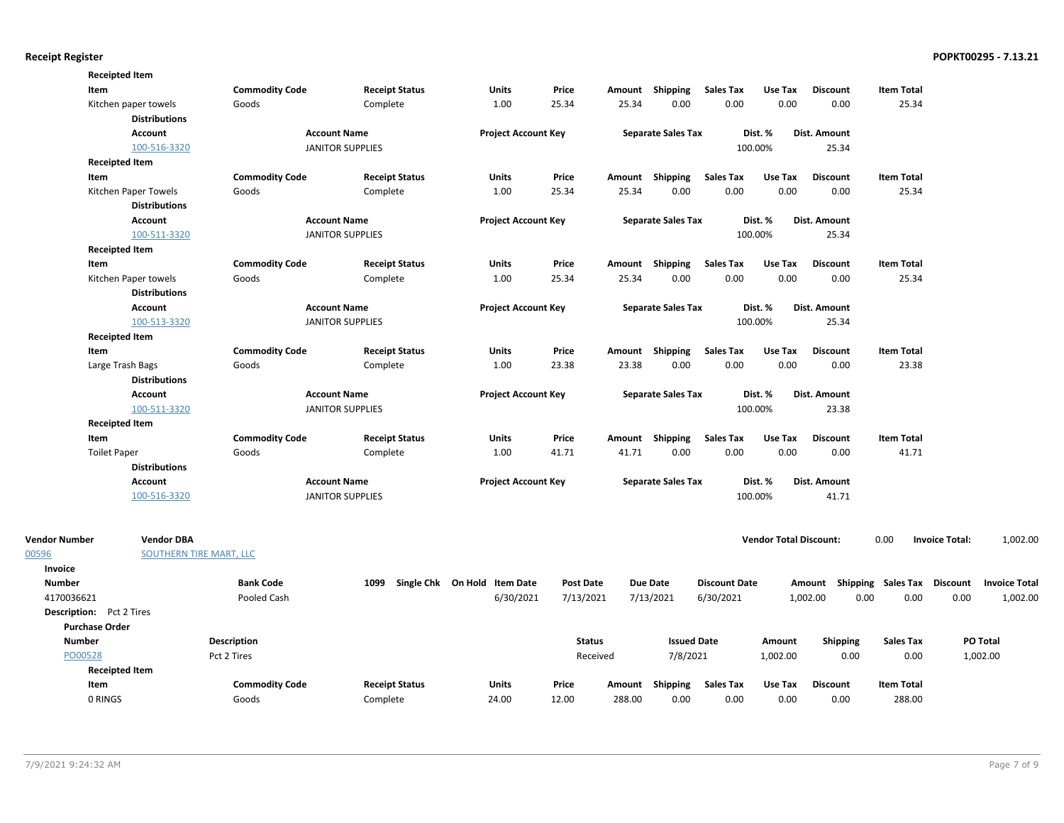| <b>Commodity Code</b><br>Item<br><b>Receipt Status</b><br>Units<br>Price<br>Shipping<br><b>Sales Tax</b><br>Use Tax<br><b>Discount</b><br><b>Item Total</b><br>Amount<br>25.34<br>0.00<br>0.00<br>0.00<br>0.00<br>25.34<br>Kitchen paper towels<br>Goods<br>Complete<br>1.00<br>25.34<br><b>Distributions</b><br><b>Account Name</b><br><b>Project Account Key</b><br><b>Separate Sales Tax</b><br>Dist. %<br>Dist. Amount<br>Account<br>100-516-3320<br><b>JANITOR SUPPLIES</b><br>100.00%<br>25.34<br><b>Receipted Item</b><br>Item<br><b>Commodity Code</b><br><b>Receipt Status</b><br>Units<br>Price<br>Amount Shipping<br>Sales Tax<br>Use Tax<br><b>Discount</b><br><b>Item Total</b><br>0.00<br>0.00<br>0.00<br>Kitchen Paper Towels<br>Goods<br>1.00<br>25.34<br>25.34<br>0.00<br>25.34<br>Complete<br><b>Distributions</b><br><b>Account Name</b><br><b>Project Account Key</b><br><b>Separate Sales Tax</b><br>Dist. %<br>Dist. Amount<br><b>Account</b><br>100.00%<br>100-511-3320<br><b>JANITOR SUPPLIES</b><br>25.34<br><b>Receipted Item</b><br><b>Commodity Code</b><br><b>Receipt Status</b><br>Units<br>Price<br>Amount Shipping<br>Sales Tax<br>Use Tax<br><b>Discount</b><br><b>Item Total</b><br>Item<br>25.34<br>25.34<br>0.00<br>0.00<br>0.00<br>0.00<br>25.34<br>Kitchen Paper towels<br>Goods<br>Complete<br>1.00<br><b>Distributions</b><br><b>Account Name</b><br><b>Project Account Key</b><br><b>Separate Sales Tax</b><br>Dist. %<br>Dist. Amount<br>Account<br>100-513-3320<br><b>JANITOR SUPPLIES</b><br>100.00%<br>25.34<br><b>Receipted Item</b><br><b>Commodity Code</b><br><b>Receipt Status</b><br>Units<br>Price<br>Amount Shipping<br><b>Sales Tax</b><br>Use Tax<br><b>Discount</b><br><b>Item Total</b><br>Item<br>23.38<br>0.00<br>0.00<br>0.00<br>0.00<br>Large Trash Bags<br>Goods<br>Complete<br>1.00<br>23.38<br>23.38<br><b>Distributions</b><br>Account<br><b>Account Name</b><br><b>Project Account Key</b><br><b>Separate Sales Tax</b><br>Dist. %<br>Dist. Amount<br>100-511-3320<br><b>JANITOR SUPPLIES</b><br>100.00%<br>23.38<br><b>Receipted Item</b><br><b>Commodity Code</b><br><b>Receipt Status</b><br>Units<br>Price<br>Amount Shipping<br>Sales Tax<br>Use Tax<br><b>Discount</b><br><b>Item Total</b><br>Item<br>Goods<br>Complete<br>1.00<br>41.71<br>41.71<br>0.00<br>0.00<br>0.00<br>0.00<br>41.71<br><b>Toilet Paper</b><br><b>Distributions</b><br><b>Project Account Key</b><br>Dist. %<br><b>Dist. Amount</b><br>Account<br><b>Account Name</b><br><b>Separate Sales Tax</b><br>100-516-3320<br><b>JANITOR SUPPLIES</b><br>100.00%<br>41.71<br><b>Vendor DBA</b><br><b>Vendor Total Discount:</b><br><b>Invoice Total:</b><br>1,002.00<br>Vendor Number<br>0.00<br>SOUTHERN TIRE MART, LLC<br>00596<br>Invoice<br><b>Number</b><br><b>Bank Code</b><br>1099 Single Chk On Hold Item Date<br><b>Post Date</b><br><b>Due Date</b><br><b>Discount Date</b><br>Amount Shipping Sales Tax Discount<br><b>Invoice Total</b><br>6/30/2021<br>7/13/2021<br>0.00<br>4170036621<br>Pooled Cash<br>7/13/2021<br>6/30/2021<br>1,002.00<br>0.00<br>0.00<br>1,002.00<br><b>Description:</b> Pct 2 Tires<br><b>Purchase Order</b><br><b>Number</b><br><b>Description</b><br><b>Status</b><br><b>Issued Date</b><br><b>Shipping</b><br><b>Sales Tax</b><br>PO Total<br>Amount<br>7/8/2021<br>PO00528<br>Pct 2 Tires<br>Received<br>1,002.00<br>0.00<br>0.00<br>1,002.00<br><b>Receipted Item</b><br><b>Commodity Code</b><br><b>Receipt Status</b><br><b>Units</b><br>Price<br><b>Sales Tax</b><br><b>Discount</b><br>Item<br>Amount Shipping<br>Use Tax<br><b>Item Total</b><br>0 RINGS<br>Goods<br>24.00<br>12.00<br>288.00<br>0.00<br>0.00<br>0.00<br>0.00<br>288.00<br>Complete | <b>Receipted Item</b> |  |  |  |  |  |  |
|------------------------------------------------------------------------------------------------------------------------------------------------------------------------------------------------------------------------------------------------------------------------------------------------------------------------------------------------------------------------------------------------------------------------------------------------------------------------------------------------------------------------------------------------------------------------------------------------------------------------------------------------------------------------------------------------------------------------------------------------------------------------------------------------------------------------------------------------------------------------------------------------------------------------------------------------------------------------------------------------------------------------------------------------------------------------------------------------------------------------------------------------------------------------------------------------------------------------------------------------------------------------------------------------------------------------------------------------------------------------------------------------------------------------------------------------------------------------------------------------------------------------------------------------------------------------------------------------------------------------------------------------------------------------------------------------------------------------------------------------------------------------------------------------------------------------------------------------------------------------------------------------------------------------------------------------------------------------------------------------------------------------------------------------------------------------------------------------------------------------------------------------------------------------------------------------------------------------------------------------------------------------------------------------------------------------------------------------------------------------------------------------------------------------------------------------------------------------------------------------------------------------------------------------------------------------------------------------------------------------------------------------------------------------------------------------------------------------------------------------------------------------------------------------------------------------------------------------------------------------------------------------------------------------------------------------------------------------------------------------------------------------------------------------------------------------------------------------------------------------------------------------------------------------------------------------------------------------------------------------------------------------------------------------------------------------------------------------------------------------------------------------------------------------------------------------------------------------------------------------------------------------------------------------------------------------------------------------------------------------------------------------------------------------------------------------------------------------------------------|-----------------------|--|--|--|--|--|--|
|                                                                                                                                                                                                                                                                                                                                                                                                                                                                                                                                                                                                                                                                                                                                                                                                                                                                                                                                                                                                                                                                                                                                                                                                                                                                                                                                                                                                                                                                                                                                                                                                                                                                                                                                                                                                                                                                                                                                                                                                                                                                                                                                                                                                                                                                                                                                                                                                                                                                                                                                                                                                                                                                                                                                                                                                                                                                                                                                                                                                                                                                                                                                                                                                                                                                                                                                                                                                                                                                                                                                                                                                                                                                                                                                          |                       |  |  |  |  |  |  |
|                                                                                                                                                                                                                                                                                                                                                                                                                                                                                                                                                                                                                                                                                                                                                                                                                                                                                                                                                                                                                                                                                                                                                                                                                                                                                                                                                                                                                                                                                                                                                                                                                                                                                                                                                                                                                                                                                                                                                                                                                                                                                                                                                                                                                                                                                                                                                                                                                                                                                                                                                                                                                                                                                                                                                                                                                                                                                                                                                                                                                                                                                                                                                                                                                                                                                                                                                                                                                                                                                                                                                                                                                                                                                                                                          |                       |  |  |  |  |  |  |
|                                                                                                                                                                                                                                                                                                                                                                                                                                                                                                                                                                                                                                                                                                                                                                                                                                                                                                                                                                                                                                                                                                                                                                                                                                                                                                                                                                                                                                                                                                                                                                                                                                                                                                                                                                                                                                                                                                                                                                                                                                                                                                                                                                                                                                                                                                                                                                                                                                                                                                                                                                                                                                                                                                                                                                                                                                                                                                                                                                                                                                                                                                                                                                                                                                                                                                                                                                                                                                                                                                                                                                                                                                                                                                                                          |                       |  |  |  |  |  |  |
|                                                                                                                                                                                                                                                                                                                                                                                                                                                                                                                                                                                                                                                                                                                                                                                                                                                                                                                                                                                                                                                                                                                                                                                                                                                                                                                                                                                                                                                                                                                                                                                                                                                                                                                                                                                                                                                                                                                                                                                                                                                                                                                                                                                                                                                                                                                                                                                                                                                                                                                                                                                                                                                                                                                                                                                                                                                                                                                                                                                                                                                                                                                                                                                                                                                                                                                                                                                                                                                                                                                                                                                                                                                                                                                                          |                       |  |  |  |  |  |  |
|                                                                                                                                                                                                                                                                                                                                                                                                                                                                                                                                                                                                                                                                                                                                                                                                                                                                                                                                                                                                                                                                                                                                                                                                                                                                                                                                                                                                                                                                                                                                                                                                                                                                                                                                                                                                                                                                                                                                                                                                                                                                                                                                                                                                                                                                                                                                                                                                                                                                                                                                                                                                                                                                                                                                                                                                                                                                                                                                                                                                                                                                                                                                                                                                                                                                                                                                                                                                                                                                                                                                                                                                                                                                                                                                          |                       |  |  |  |  |  |  |
|                                                                                                                                                                                                                                                                                                                                                                                                                                                                                                                                                                                                                                                                                                                                                                                                                                                                                                                                                                                                                                                                                                                                                                                                                                                                                                                                                                                                                                                                                                                                                                                                                                                                                                                                                                                                                                                                                                                                                                                                                                                                                                                                                                                                                                                                                                                                                                                                                                                                                                                                                                                                                                                                                                                                                                                                                                                                                                                                                                                                                                                                                                                                                                                                                                                                                                                                                                                                                                                                                                                                                                                                                                                                                                                                          |                       |  |  |  |  |  |  |
|                                                                                                                                                                                                                                                                                                                                                                                                                                                                                                                                                                                                                                                                                                                                                                                                                                                                                                                                                                                                                                                                                                                                                                                                                                                                                                                                                                                                                                                                                                                                                                                                                                                                                                                                                                                                                                                                                                                                                                                                                                                                                                                                                                                                                                                                                                                                                                                                                                                                                                                                                                                                                                                                                                                                                                                                                                                                                                                                                                                                                                                                                                                                                                                                                                                                                                                                                                                                                                                                                                                                                                                                                                                                                                                                          |                       |  |  |  |  |  |  |
|                                                                                                                                                                                                                                                                                                                                                                                                                                                                                                                                                                                                                                                                                                                                                                                                                                                                                                                                                                                                                                                                                                                                                                                                                                                                                                                                                                                                                                                                                                                                                                                                                                                                                                                                                                                                                                                                                                                                                                                                                                                                                                                                                                                                                                                                                                                                                                                                                                                                                                                                                                                                                                                                                                                                                                                                                                                                                                                                                                                                                                                                                                                                                                                                                                                                                                                                                                                                                                                                                                                                                                                                                                                                                                                                          |                       |  |  |  |  |  |  |
|                                                                                                                                                                                                                                                                                                                                                                                                                                                                                                                                                                                                                                                                                                                                                                                                                                                                                                                                                                                                                                                                                                                                                                                                                                                                                                                                                                                                                                                                                                                                                                                                                                                                                                                                                                                                                                                                                                                                                                                                                                                                                                                                                                                                                                                                                                                                                                                                                                                                                                                                                                                                                                                                                                                                                                                                                                                                                                                                                                                                                                                                                                                                                                                                                                                                                                                                                                                                                                                                                                                                                                                                                                                                                                                                          |                       |  |  |  |  |  |  |
|                                                                                                                                                                                                                                                                                                                                                                                                                                                                                                                                                                                                                                                                                                                                                                                                                                                                                                                                                                                                                                                                                                                                                                                                                                                                                                                                                                                                                                                                                                                                                                                                                                                                                                                                                                                                                                                                                                                                                                                                                                                                                                                                                                                                                                                                                                                                                                                                                                                                                                                                                                                                                                                                                                                                                                                                                                                                                                                                                                                                                                                                                                                                                                                                                                                                                                                                                                                                                                                                                                                                                                                                                                                                                                                                          |                       |  |  |  |  |  |  |
|                                                                                                                                                                                                                                                                                                                                                                                                                                                                                                                                                                                                                                                                                                                                                                                                                                                                                                                                                                                                                                                                                                                                                                                                                                                                                                                                                                                                                                                                                                                                                                                                                                                                                                                                                                                                                                                                                                                                                                                                                                                                                                                                                                                                                                                                                                                                                                                                                                                                                                                                                                                                                                                                                                                                                                                                                                                                                                                                                                                                                                                                                                                                                                                                                                                                                                                                                                                                                                                                                                                                                                                                                                                                                                                                          |                       |  |  |  |  |  |  |
|                                                                                                                                                                                                                                                                                                                                                                                                                                                                                                                                                                                                                                                                                                                                                                                                                                                                                                                                                                                                                                                                                                                                                                                                                                                                                                                                                                                                                                                                                                                                                                                                                                                                                                                                                                                                                                                                                                                                                                                                                                                                                                                                                                                                                                                                                                                                                                                                                                                                                                                                                                                                                                                                                                                                                                                                                                                                                                                                                                                                                                                                                                                                                                                                                                                                                                                                                                                                                                                                                                                                                                                                                                                                                                                                          |                       |  |  |  |  |  |  |
|                                                                                                                                                                                                                                                                                                                                                                                                                                                                                                                                                                                                                                                                                                                                                                                                                                                                                                                                                                                                                                                                                                                                                                                                                                                                                                                                                                                                                                                                                                                                                                                                                                                                                                                                                                                                                                                                                                                                                                                                                                                                                                                                                                                                                                                                                                                                                                                                                                                                                                                                                                                                                                                                                                                                                                                                                                                                                                                                                                                                                                                                                                                                                                                                                                                                                                                                                                                                                                                                                                                                                                                                                                                                                                                                          |                       |  |  |  |  |  |  |
|                                                                                                                                                                                                                                                                                                                                                                                                                                                                                                                                                                                                                                                                                                                                                                                                                                                                                                                                                                                                                                                                                                                                                                                                                                                                                                                                                                                                                                                                                                                                                                                                                                                                                                                                                                                                                                                                                                                                                                                                                                                                                                                                                                                                                                                                                                                                                                                                                                                                                                                                                                                                                                                                                                                                                                                                                                                                                                                                                                                                                                                                                                                                                                                                                                                                                                                                                                                                                                                                                                                                                                                                                                                                                                                                          |                       |  |  |  |  |  |  |
|                                                                                                                                                                                                                                                                                                                                                                                                                                                                                                                                                                                                                                                                                                                                                                                                                                                                                                                                                                                                                                                                                                                                                                                                                                                                                                                                                                                                                                                                                                                                                                                                                                                                                                                                                                                                                                                                                                                                                                                                                                                                                                                                                                                                                                                                                                                                                                                                                                                                                                                                                                                                                                                                                                                                                                                                                                                                                                                                                                                                                                                                                                                                                                                                                                                                                                                                                                                                                                                                                                                                                                                                                                                                                                                                          |                       |  |  |  |  |  |  |
|                                                                                                                                                                                                                                                                                                                                                                                                                                                                                                                                                                                                                                                                                                                                                                                                                                                                                                                                                                                                                                                                                                                                                                                                                                                                                                                                                                                                                                                                                                                                                                                                                                                                                                                                                                                                                                                                                                                                                                                                                                                                                                                                                                                                                                                                                                                                                                                                                                                                                                                                                                                                                                                                                                                                                                                                                                                                                                                                                                                                                                                                                                                                                                                                                                                                                                                                                                                                                                                                                                                                                                                                                                                                                                                                          |                       |  |  |  |  |  |  |
|                                                                                                                                                                                                                                                                                                                                                                                                                                                                                                                                                                                                                                                                                                                                                                                                                                                                                                                                                                                                                                                                                                                                                                                                                                                                                                                                                                                                                                                                                                                                                                                                                                                                                                                                                                                                                                                                                                                                                                                                                                                                                                                                                                                                                                                                                                                                                                                                                                                                                                                                                                                                                                                                                                                                                                                                                                                                                                                                                                                                                                                                                                                                                                                                                                                                                                                                                                                                                                                                                                                                                                                                                                                                                                                                          |                       |  |  |  |  |  |  |
|                                                                                                                                                                                                                                                                                                                                                                                                                                                                                                                                                                                                                                                                                                                                                                                                                                                                                                                                                                                                                                                                                                                                                                                                                                                                                                                                                                                                                                                                                                                                                                                                                                                                                                                                                                                                                                                                                                                                                                                                                                                                                                                                                                                                                                                                                                                                                                                                                                                                                                                                                                                                                                                                                                                                                                                                                                                                                                                                                                                                                                                                                                                                                                                                                                                                                                                                                                                                                                                                                                                                                                                                                                                                                                                                          |                       |  |  |  |  |  |  |
|                                                                                                                                                                                                                                                                                                                                                                                                                                                                                                                                                                                                                                                                                                                                                                                                                                                                                                                                                                                                                                                                                                                                                                                                                                                                                                                                                                                                                                                                                                                                                                                                                                                                                                                                                                                                                                                                                                                                                                                                                                                                                                                                                                                                                                                                                                                                                                                                                                                                                                                                                                                                                                                                                                                                                                                                                                                                                                                                                                                                                                                                                                                                                                                                                                                                                                                                                                                                                                                                                                                                                                                                                                                                                                                                          |                       |  |  |  |  |  |  |
|                                                                                                                                                                                                                                                                                                                                                                                                                                                                                                                                                                                                                                                                                                                                                                                                                                                                                                                                                                                                                                                                                                                                                                                                                                                                                                                                                                                                                                                                                                                                                                                                                                                                                                                                                                                                                                                                                                                                                                                                                                                                                                                                                                                                                                                                                                                                                                                                                                                                                                                                                                                                                                                                                                                                                                                                                                                                                                                                                                                                                                                                                                                                                                                                                                                                                                                                                                                                                                                                                                                                                                                                                                                                                                                                          |                       |  |  |  |  |  |  |
|                                                                                                                                                                                                                                                                                                                                                                                                                                                                                                                                                                                                                                                                                                                                                                                                                                                                                                                                                                                                                                                                                                                                                                                                                                                                                                                                                                                                                                                                                                                                                                                                                                                                                                                                                                                                                                                                                                                                                                                                                                                                                                                                                                                                                                                                                                                                                                                                                                                                                                                                                                                                                                                                                                                                                                                                                                                                                                                                                                                                                                                                                                                                                                                                                                                                                                                                                                                                                                                                                                                                                                                                                                                                                                                                          |                       |  |  |  |  |  |  |
|                                                                                                                                                                                                                                                                                                                                                                                                                                                                                                                                                                                                                                                                                                                                                                                                                                                                                                                                                                                                                                                                                                                                                                                                                                                                                                                                                                                                                                                                                                                                                                                                                                                                                                                                                                                                                                                                                                                                                                                                                                                                                                                                                                                                                                                                                                                                                                                                                                                                                                                                                                                                                                                                                                                                                                                                                                                                                                                                                                                                                                                                                                                                                                                                                                                                                                                                                                                                                                                                                                                                                                                                                                                                                                                                          |                       |  |  |  |  |  |  |
|                                                                                                                                                                                                                                                                                                                                                                                                                                                                                                                                                                                                                                                                                                                                                                                                                                                                                                                                                                                                                                                                                                                                                                                                                                                                                                                                                                                                                                                                                                                                                                                                                                                                                                                                                                                                                                                                                                                                                                                                                                                                                                                                                                                                                                                                                                                                                                                                                                                                                                                                                                                                                                                                                                                                                                                                                                                                                                                                                                                                                                                                                                                                                                                                                                                                                                                                                                                                                                                                                                                                                                                                                                                                                                                                          |                       |  |  |  |  |  |  |
|                                                                                                                                                                                                                                                                                                                                                                                                                                                                                                                                                                                                                                                                                                                                                                                                                                                                                                                                                                                                                                                                                                                                                                                                                                                                                                                                                                                                                                                                                                                                                                                                                                                                                                                                                                                                                                                                                                                                                                                                                                                                                                                                                                                                                                                                                                                                                                                                                                                                                                                                                                                                                                                                                                                                                                                                                                                                                                                                                                                                                                                                                                                                                                                                                                                                                                                                                                                                                                                                                                                                                                                                                                                                                                                                          |                       |  |  |  |  |  |  |
|                                                                                                                                                                                                                                                                                                                                                                                                                                                                                                                                                                                                                                                                                                                                                                                                                                                                                                                                                                                                                                                                                                                                                                                                                                                                                                                                                                                                                                                                                                                                                                                                                                                                                                                                                                                                                                                                                                                                                                                                                                                                                                                                                                                                                                                                                                                                                                                                                                                                                                                                                                                                                                                                                                                                                                                                                                                                                                                                                                                                                                                                                                                                                                                                                                                                                                                                                                                                                                                                                                                                                                                                                                                                                                                                          |                       |  |  |  |  |  |  |
|                                                                                                                                                                                                                                                                                                                                                                                                                                                                                                                                                                                                                                                                                                                                                                                                                                                                                                                                                                                                                                                                                                                                                                                                                                                                                                                                                                                                                                                                                                                                                                                                                                                                                                                                                                                                                                                                                                                                                                                                                                                                                                                                                                                                                                                                                                                                                                                                                                                                                                                                                                                                                                                                                                                                                                                                                                                                                                                                                                                                                                                                                                                                                                                                                                                                                                                                                                                                                                                                                                                                                                                                                                                                                                                                          |                       |  |  |  |  |  |  |
|                                                                                                                                                                                                                                                                                                                                                                                                                                                                                                                                                                                                                                                                                                                                                                                                                                                                                                                                                                                                                                                                                                                                                                                                                                                                                                                                                                                                                                                                                                                                                                                                                                                                                                                                                                                                                                                                                                                                                                                                                                                                                                                                                                                                                                                                                                                                                                                                                                                                                                                                                                                                                                                                                                                                                                                                                                                                                                                                                                                                                                                                                                                                                                                                                                                                                                                                                                                                                                                                                                                                                                                                                                                                                                                                          |                       |  |  |  |  |  |  |
|                                                                                                                                                                                                                                                                                                                                                                                                                                                                                                                                                                                                                                                                                                                                                                                                                                                                                                                                                                                                                                                                                                                                                                                                                                                                                                                                                                                                                                                                                                                                                                                                                                                                                                                                                                                                                                                                                                                                                                                                                                                                                                                                                                                                                                                                                                                                                                                                                                                                                                                                                                                                                                                                                                                                                                                                                                                                                                                                                                                                                                                                                                                                                                                                                                                                                                                                                                                                                                                                                                                                                                                                                                                                                                                                          |                       |  |  |  |  |  |  |
|                                                                                                                                                                                                                                                                                                                                                                                                                                                                                                                                                                                                                                                                                                                                                                                                                                                                                                                                                                                                                                                                                                                                                                                                                                                                                                                                                                                                                                                                                                                                                                                                                                                                                                                                                                                                                                                                                                                                                                                                                                                                                                                                                                                                                                                                                                                                                                                                                                                                                                                                                                                                                                                                                                                                                                                                                                                                                                                                                                                                                                                                                                                                                                                                                                                                                                                                                                                                                                                                                                                                                                                                                                                                                                                                          |                       |  |  |  |  |  |  |
|                                                                                                                                                                                                                                                                                                                                                                                                                                                                                                                                                                                                                                                                                                                                                                                                                                                                                                                                                                                                                                                                                                                                                                                                                                                                                                                                                                                                                                                                                                                                                                                                                                                                                                                                                                                                                                                                                                                                                                                                                                                                                                                                                                                                                                                                                                                                                                                                                                                                                                                                                                                                                                                                                                                                                                                                                                                                                                                                                                                                                                                                                                                                                                                                                                                                                                                                                                                                                                                                                                                                                                                                                                                                                                                                          |                       |  |  |  |  |  |  |
|                                                                                                                                                                                                                                                                                                                                                                                                                                                                                                                                                                                                                                                                                                                                                                                                                                                                                                                                                                                                                                                                                                                                                                                                                                                                                                                                                                                                                                                                                                                                                                                                                                                                                                                                                                                                                                                                                                                                                                                                                                                                                                                                                                                                                                                                                                                                                                                                                                                                                                                                                                                                                                                                                                                                                                                                                                                                                                                                                                                                                                                                                                                                                                                                                                                                                                                                                                                                                                                                                                                                                                                                                                                                                                                                          |                       |  |  |  |  |  |  |
|                                                                                                                                                                                                                                                                                                                                                                                                                                                                                                                                                                                                                                                                                                                                                                                                                                                                                                                                                                                                                                                                                                                                                                                                                                                                                                                                                                                                                                                                                                                                                                                                                                                                                                                                                                                                                                                                                                                                                                                                                                                                                                                                                                                                                                                                                                                                                                                                                                                                                                                                                                                                                                                                                                                                                                                                                                                                                                                                                                                                                                                                                                                                                                                                                                                                                                                                                                                                                                                                                                                                                                                                                                                                                                                                          |                       |  |  |  |  |  |  |
|                                                                                                                                                                                                                                                                                                                                                                                                                                                                                                                                                                                                                                                                                                                                                                                                                                                                                                                                                                                                                                                                                                                                                                                                                                                                                                                                                                                                                                                                                                                                                                                                                                                                                                                                                                                                                                                                                                                                                                                                                                                                                                                                                                                                                                                                                                                                                                                                                                                                                                                                                                                                                                                                                                                                                                                                                                                                                                                                                                                                                                                                                                                                                                                                                                                                                                                                                                                                                                                                                                                                                                                                                                                                                                                                          |                       |  |  |  |  |  |  |
|                                                                                                                                                                                                                                                                                                                                                                                                                                                                                                                                                                                                                                                                                                                                                                                                                                                                                                                                                                                                                                                                                                                                                                                                                                                                                                                                                                                                                                                                                                                                                                                                                                                                                                                                                                                                                                                                                                                                                                                                                                                                                                                                                                                                                                                                                                                                                                                                                                                                                                                                                                                                                                                                                                                                                                                                                                                                                                                                                                                                                                                                                                                                                                                                                                                                                                                                                                                                                                                                                                                                                                                                                                                                                                                                          |                       |  |  |  |  |  |  |
|                                                                                                                                                                                                                                                                                                                                                                                                                                                                                                                                                                                                                                                                                                                                                                                                                                                                                                                                                                                                                                                                                                                                                                                                                                                                                                                                                                                                                                                                                                                                                                                                                                                                                                                                                                                                                                                                                                                                                                                                                                                                                                                                                                                                                                                                                                                                                                                                                                                                                                                                                                                                                                                                                                                                                                                                                                                                                                                                                                                                                                                                                                                                                                                                                                                                                                                                                                                                                                                                                                                                                                                                                                                                                                                                          |                       |  |  |  |  |  |  |
|                                                                                                                                                                                                                                                                                                                                                                                                                                                                                                                                                                                                                                                                                                                                                                                                                                                                                                                                                                                                                                                                                                                                                                                                                                                                                                                                                                                                                                                                                                                                                                                                                                                                                                                                                                                                                                                                                                                                                                                                                                                                                                                                                                                                                                                                                                                                                                                                                                                                                                                                                                                                                                                                                                                                                                                                                                                                                                                                                                                                                                                                                                                                                                                                                                                                                                                                                                                                                                                                                                                                                                                                                                                                                                                                          |                       |  |  |  |  |  |  |
|                                                                                                                                                                                                                                                                                                                                                                                                                                                                                                                                                                                                                                                                                                                                                                                                                                                                                                                                                                                                                                                                                                                                                                                                                                                                                                                                                                                                                                                                                                                                                                                                                                                                                                                                                                                                                                                                                                                                                                                                                                                                                                                                                                                                                                                                                                                                                                                                                                                                                                                                                                                                                                                                                                                                                                                                                                                                                                                                                                                                                                                                                                                                                                                                                                                                                                                                                                                                                                                                                                                                                                                                                                                                                                                                          |                       |  |  |  |  |  |  |
|                                                                                                                                                                                                                                                                                                                                                                                                                                                                                                                                                                                                                                                                                                                                                                                                                                                                                                                                                                                                                                                                                                                                                                                                                                                                                                                                                                                                                                                                                                                                                                                                                                                                                                                                                                                                                                                                                                                                                                                                                                                                                                                                                                                                                                                                                                                                                                                                                                                                                                                                                                                                                                                                                                                                                                                                                                                                                                                                                                                                                                                                                                                                                                                                                                                                                                                                                                                                                                                                                                                                                                                                                                                                                                                                          |                       |  |  |  |  |  |  |
|                                                                                                                                                                                                                                                                                                                                                                                                                                                                                                                                                                                                                                                                                                                                                                                                                                                                                                                                                                                                                                                                                                                                                                                                                                                                                                                                                                                                                                                                                                                                                                                                                                                                                                                                                                                                                                                                                                                                                                                                                                                                                                                                                                                                                                                                                                                                                                                                                                                                                                                                                                                                                                                                                                                                                                                                                                                                                                                                                                                                                                                                                                                                                                                                                                                                                                                                                                                                                                                                                                                                                                                                                                                                                                                                          |                       |  |  |  |  |  |  |
|                                                                                                                                                                                                                                                                                                                                                                                                                                                                                                                                                                                                                                                                                                                                                                                                                                                                                                                                                                                                                                                                                                                                                                                                                                                                                                                                                                                                                                                                                                                                                                                                                                                                                                                                                                                                                                                                                                                                                                                                                                                                                                                                                                                                                                                                                                                                                                                                                                                                                                                                                                                                                                                                                                                                                                                                                                                                                                                                                                                                                                                                                                                                                                                                                                                                                                                                                                                                                                                                                                                                                                                                                                                                                                                                          |                       |  |  |  |  |  |  |
|                                                                                                                                                                                                                                                                                                                                                                                                                                                                                                                                                                                                                                                                                                                                                                                                                                                                                                                                                                                                                                                                                                                                                                                                                                                                                                                                                                                                                                                                                                                                                                                                                                                                                                                                                                                                                                                                                                                                                                                                                                                                                                                                                                                                                                                                                                                                                                                                                                                                                                                                                                                                                                                                                                                                                                                                                                                                                                                                                                                                                                                                                                                                                                                                                                                                                                                                                                                                                                                                                                                                                                                                                                                                                                                                          |                       |  |  |  |  |  |  |

00596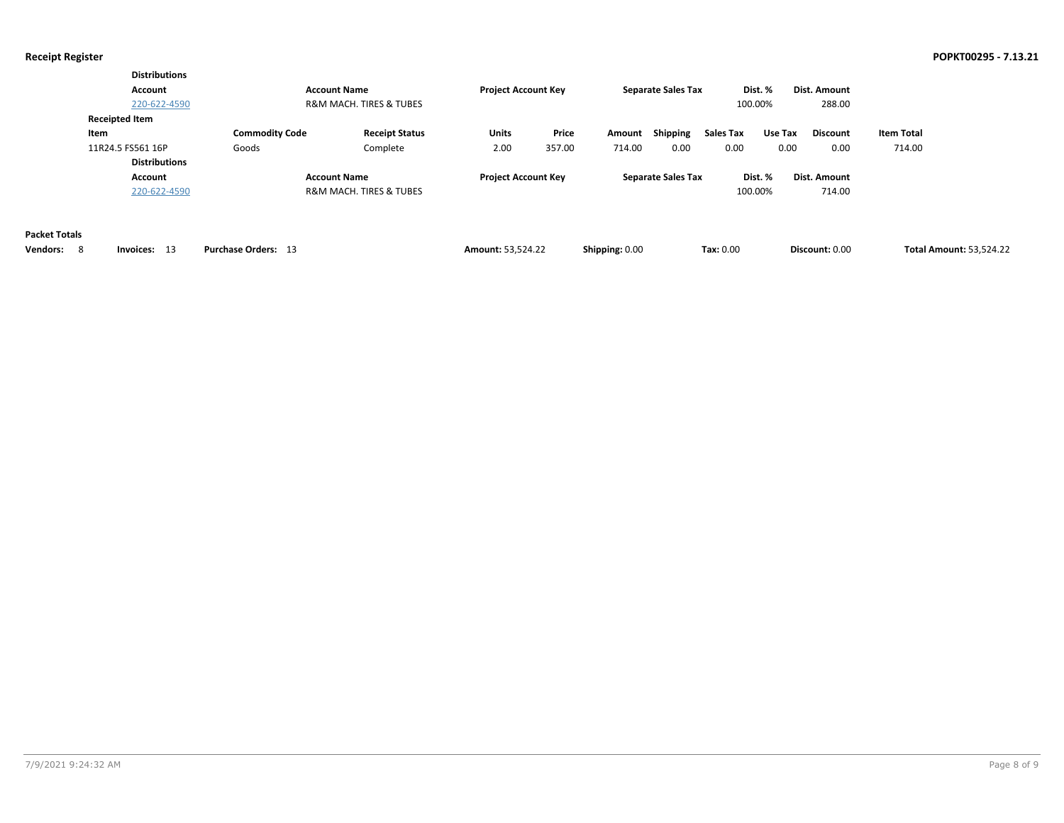|                                        | <b>Distributions</b><br>Account<br>220-622-4590    |                                | <b>Account Name</b><br><b>R&amp;M MACH. TIRES &amp; TUBES</b> | <b>Project Account Key</b> |                 |                  | <b>Separate Sales Tax</b> |                   | Dist. %<br>100.00% | Dist. Amount<br>288.00  |                             |                                |
|----------------------------------------|----------------------------------------------------|--------------------------------|---------------------------------------------------------------|----------------------------|-----------------|------------------|---------------------------|-------------------|--------------------|-------------------------|-----------------------------|--------------------------------|
|                                        | <b>Receipted Item</b><br>Item<br>11R24.5 FS561 16P | <b>Commodity Code</b><br>Goods | <b>Receipt Status</b><br>Complete                             | Units<br>2.00              | Price<br>357.00 | Amount<br>714.00 | Shipping<br>0.00          | Sales Tax<br>0.00 | Use Tax<br>0.00    | <b>Discount</b><br>0.00 | <b>Item Total</b><br>714.00 |                                |
|                                        | <b>Distributions</b><br>Account<br>220-622-4590    |                                | <b>Account Name</b><br><b>R&amp;M MACH. TIRES &amp; TUBES</b> | <b>Project Account Key</b> |                 |                  | <b>Separate Sales Tax</b> |                   | Dist. %<br>100.00% | Dist. Amount<br>714.00  |                             |                                |
| <b>Packet Totals</b><br>Vendors:<br>-8 | Invoices: 13                                       | <b>Purchase Orders: 13</b>     |                                                               | <b>Amount: 53,524.22</b>   |                 | Shipping: 0.00   |                           | Tax: 0.00         |                    | Discount: 0.00          |                             | <b>Total Amount: 53,524.22</b> |